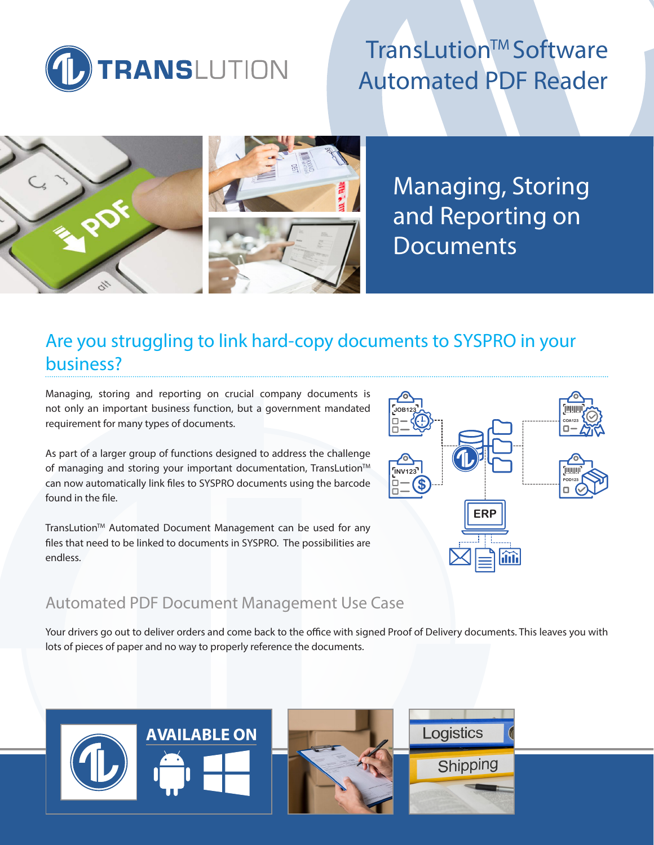

# TransLution™ Software Automated PDF Reader



Managing, Storing and Reporting on **Documents** 

## Are you struggling to link hard-copy documents to SYSPRO in your business?

Managing, storing and reporting on crucial company documents is not only an important business function, but a government mandated requirement for many types of documents.

As part of a larger group of functions designed to address the challenge of managing and storing your important documentation, TransLution™ can now automatically link files to SYSPRO documents using the barcode found in the file.

TransLution™ Automated Document Management can be used for any files that need to be linked to documents in SYSPRO. The possibilities are endless.

### Automated PDF Document Management Use Case

Your drivers go out to deliver orders and come back to the office with signed Proof of Delivery documents. This leaves you with lots of pieces of paper and no way to properly reference the documents.